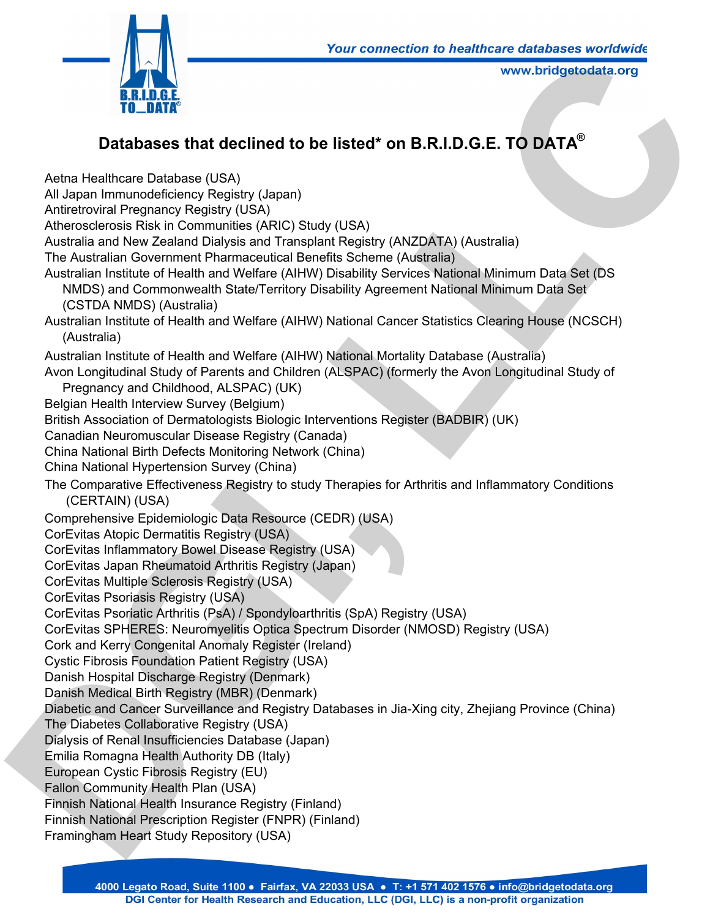

## **Databases that declined to be listed\* on B.R.I.D.G.E. TO DATA®**

Aetna Healthcare Database (USA) All Japan Immunodeficiency Registry (Japan) Antiretroviral Pregnancy Registry (USA) Atherosclerosis Risk in Communities (ARIC) Study (USA) Australia and New Zealand Dialysis and Transplant Registry (ANZDATA) (Australia) The Australian Government Pharmaceutical Benefits Scheme (Australia) Australian Institute of Health and Welfare (AIHW) Disability Services National Minimum Data Set (DS NMDS) and Commonwealth State/Territory Disability Agreement National Minimum Data Set (CSTDA NMDS) (Australia) Australian Institute of Health and Welfare (AIHW) National Cancer Statistics Clearing House (NCSCH) (Australia) Australian Institute of Health and Welfare (AIHW) National Mortality Database (Australia) Avon Longitudinal Study of Parents and Children (ALSPAC) (formerly the Avon Longitudinal Study of Pregnancy and Childhood, ALSPAC) (UK) Belgian Health Interview Survey (Belgium) British Association of Dermatologists Biologic Interventions Register (BADBIR) (UK) Canadian Neuromuscular Disease Registry (Canada) China National Birth Defects Monitoring Network (China) China National Hypertension Survey (China) The Comparative Effectiveness Registry to study Therapies for Arthritis and Inflammatory Conditions (CERTAIN) (USA) Comprehensive Epidemiologic Data Resource (CEDR) (USA) CorEvitas Atopic Dermatitis Registry (USA) CorEvitas Inflammatory Bowel Disease Registry (USA) CorEvitas Japan Rheumatoid Arthritis Registry (Japan) CorEvitas Multiple Sclerosis Registry (USA) CorEvitas Psoriasis Registry (USA) CorEvitas Psoriatic Arthritis (PsA) / Spondyloarthritis (SpA) Registry (USA) CorEvitas SPHERES: Neuromyelitis Optica Spectrum Disorder (NMOSD) Registry (USA) Cork and Kerry Congenital Anomaly Register (Ireland) Cystic Fibrosis Foundation Patient Registry (USA) Danish Hospital Discharge Registry (Denmark) Danish Medical Birth Registry (MBR) (Denmark) Diabetic and Cancer Surveillance and Registry Databases in Jia-Xing city, Zhejiang Province (China) The Diabetes Collaborative Registry (USA) Dialysis of Renal Insufficiencies Database (Japan) Emilia Romagna Health Authority DB (Italy) European Cystic Fibrosis Registry (EU) Fallon Community Health Plan (USA) Finnish National Health Insurance Registry (Finland) Finnish National Prescription Register (FNPR) (Finland) Framingham Heart Study Repository (USA) **CONFIGURER CONSULTER CONSULTER CONSULTER CONSULTER CONSULTER CONSULTER CONSULTER CONSULTER CONSULTER CONSULTER CONSULTER CONSULTER CONSULTER CONSULTER CONSULTER CONSULTER CONSULTER CONSULTER CONSULTER CONSULTER CONSULTER**